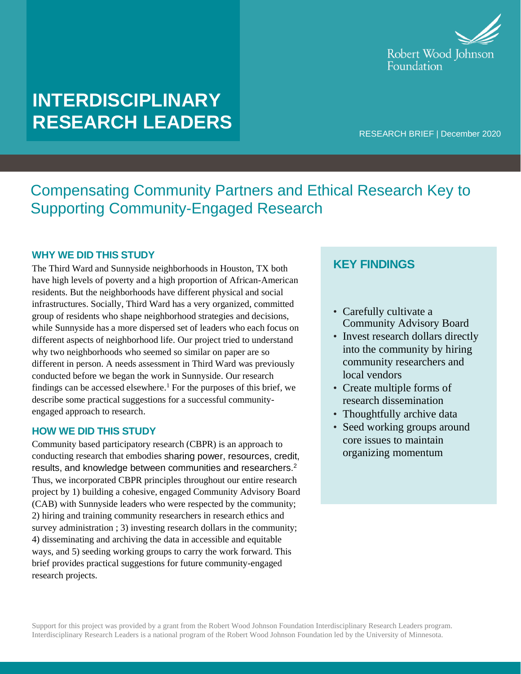

# **INTERDISCIPLINARY RESEARCH LEADERS**

RESEARCH BRIEF | December 2020

## Compensating Community Partners and Ethical Research Key to Supporting Community-Engaged Research

#### **WHY WE DID THIS STUDY**

The Third Ward and Sunnyside neighborhoods in Houston, TX both have high levels of poverty and a high proportion of African-American residents. But the neighborhoods have different physical and social infrastructures. Socially, Third Ward has a very organized, committed group of residents who shape neighborhood strategies and decisions, while Sunnyside has a more dispersed set of leaders who each focus on different aspects of neighborhood life. Our project tried to understand why two neighborhoods who seemed so similar on paper are so different in person. A needs assessment in Third Ward was previously conducted before we began the work in Sunnyside. Our research findings can be accessed elsewhere.<sup>1</sup> For the purposes of this brief, we describe some practical suggestions for a successful communityengaged approach to research.

#### **HOW WE DID THIS STUDY**

Community based participatory research (CBPR) is an approach to conducting research that embodies sharing power, resources, credit, results, and knowledge between communities and researchers.<sup>2</sup> Thus, we incorporated CBPR principles throughout our entire research project by 1) building a cohesive, engaged Community Advisory Board (CAB) with Sunnyside leaders who were respected by the community; 2) hiring and training community researchers in research ethics and survey administration ; 3) investing research dollars in the community; 4) disseminating and archiving the data in accessible and equitable ways, and 5) seeding working groups to carry the work forward. This brief provides practical suggestions for future community-engaged research projects.

## **KEY FINDINGS**

- Carefully cultivate a Community Advisory Board
- Invest research dollars directly into the community by hiring community researchers and local vendors
- Create multiple forms of research dissemination
- Thoughtfully archive data
- Seed working groups around core issues to maintain organizing momentum

Support for this project was provided by a grant from the Robert Wood Johnson Foundation Interdisciplinary Research Leaders program. Interdisciplinary Research Leaders is a national program of the Robert Wood Johnson Foundation led by the University of Minnesota.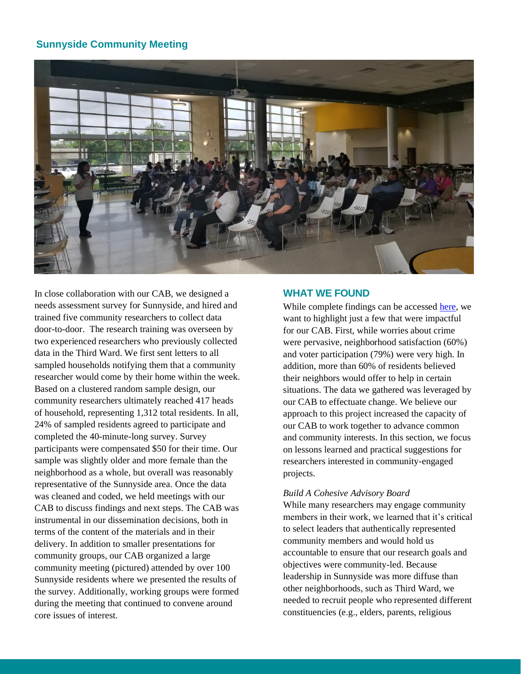### **Sunnyside Community Meeting**



In close collaboration with our CAB, we designed a needs assessment survey for Sunnyside, and hired and trained five community researchers to collect data door-to-door. The research training was overseen by two experienced researchers who previously collected data in the Third Ward. We first sent letters to all sampled households notifying them that a community researcher would come by their home within the week. Based on a clustered random sample design, our community researchers ultimately reached 417 heads of household, representing 1,312 total residents. In all, 24% of sampled residents agreed to participate and completed the 40-minute-long survey. Survey participants were compensated \$50 for their time. Our sample was slightly older and more female than the neighborhood as a whole, but overall was reasonably representative of the Sunnyside area. Once the data was cleaned and coded, we held meetings with our CAB to discuss findings and next steps. The CAB was instrumental in our dissemination decisions, both in terms of the content of the materials and in their delivery. In addition to smaller presentations for community groups, our CAB organized a large community meeting (pictured) attended by over 100 Sunnyside residents where we presented the results of the survey. Additionally, working groups were formed during the meeting that continued to convene around core issues of interest.

#### **WHAT WE FOUND**

While complete findings can be accesse[d here,](https://www.bakerinstitute.org/media/files/research-document/5e17d4a1/chb-pub-sunnyside-110819.pdf) we want to highlight just a few that were impactful for our CAB. First, while worries about crime were pervasive, neighborhood satisfaction (60%) and voter participation (79%) were very high. In addition, more than 60% of residents believed their neighbors would offer to help in certain situations. The data we gathered was leveraged by our CAB to effectuate change. We believe our approach to this project increased the capacity of our CAB to work together to advance common and community interests. In this section, we focus on lessons learned and practical suggestions for researchers interested in community-engaged projects.

#### *Build A Cohesive Advisory Board*

While many researchers may engage community members in their work, we learned that it's critical to select leaders that authentically represented community members and would hold us accountable to ensure that our research goals and objectives were community-led. Because leadership in Sunnyside was more diffuse than other neighborhoods, such as Third Ward, we needed to recruit people who represented different constituencies (e.g., elders, parents, religious